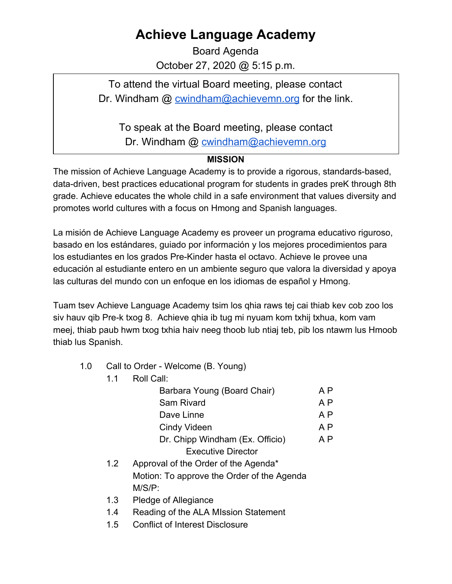## **Achieve Language Academy**

Board Agenda October 27, 2020 @ 5:15 p.m.

To attend the virtual Board meeting, please contact Dr. Windham @ [cwindham@achievemn.org](mailto:cwindham@achievemn.org) for the link.

To speak at the Board meeting, please contact

Dr. Windham @ [cwindham@achievemn.org](mailto:cwindham@achievemn.org)

## **MISSION**

The mission of Achieve Language Academy is to provide a rigorous, standards-based, data-driven, best practices educational program for students in grades preK through 8th grade. Achieve educates the whole child in a safe environment that values diversity and promotes world cultures with a focus on Hmong and Spanish languages.

La misión de Achieve Language Academy es proveer un programa educativo riguroso, basado en los estándares, guiado por información y los mejores procedimientos para los estudiantes en los grados Pre-Kinder hasta el octavo. Achieve le provee una educación al estudiante entero en un ambiente seguro que valora la diversidad y apoya las culturas del mundo con un enfoque en los idiomas de español y Hmong.

Tuam tsev Achieve Language Academy tsim los qhia raws tej cai thiab kev cob zoo los siv hauv qib Pre-k txog 8. Achieve qhia ib tug mi nyuam kom txhij txhua, kom vam meej, thiab paub hwm txog txhia haiv neeg thoob lub ntiaj teb, pib los ntawm lus Hmoob thiab lus Spanish.

- 1.0 Call to Order Welcome (B. Young)
	- 1.1 Roll Call:

| A P |
|-----|
| A P |
| A P |
| A P |
| A P |
|     |
|     |

- 1.2 Approval of the Order of the Agenda\* Motion: To approve the Order of the Agenda M/S/P:
- 1.3 Pledge of Allegiance
- 1.4 Reading of the ALA MIssion Statement
- 1.5 Conflict of Interest Disclosure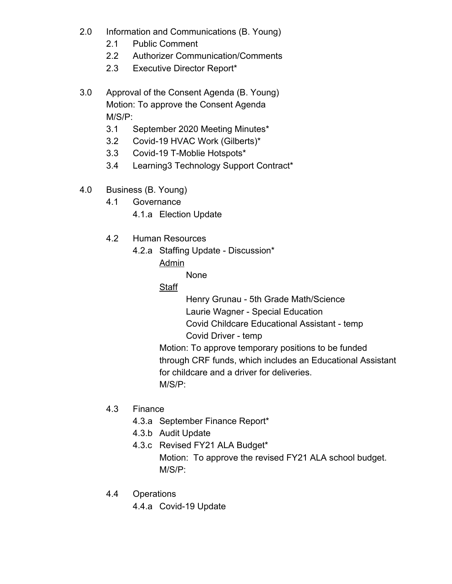- 2.0 Information and Communications (B. Young)
	- 2.1 Public Comment
	- 2.2 Authorizer Communication/Comments
	- 2.3 Executive Director Report\*
- 3.0 Approval of the Consent Agenda (B. Young) Motion: To approve the Consent Agenda M/S/P:
	- 3.1 September 2020 Meeting Minutes\*
	- 3.2 Covid-19 HVAC Work (Gilberts)\*
	- 3.3 Covid-19 T-Moblie Hotspots\*
	- 3.4 Learning3 Technology Support Contract\*
- 4.0 Business (B. Young)
	- 4.1 Governance
		- 4.1.a Election Update
	- 4.2 Human Resources
		- 4.2.a Staffing Update Discussion\*
			- Admin

None

Staff

Henry Grunau - 5th Grade Math/Science Laurie Wagner - Special Education Covid Childcare Educational Assistant - temp Covid Driver - temp

Motion: To approve temporary positions to be funded through CRF funds, which includes an Educational Assistant for childcare and a driver for deliveries. M/S/P:

- 4.3 Finance
	- 4.3.a September Finance Report\*
	- 4.3.b Audit Update
	- 4.3.c Revised FY21 ALA Budget\* Motion: To approve the revised FY21 ALA school budget. M/S/P:
- 4.4 Operations
	- 4.4.a Covid-19 Update